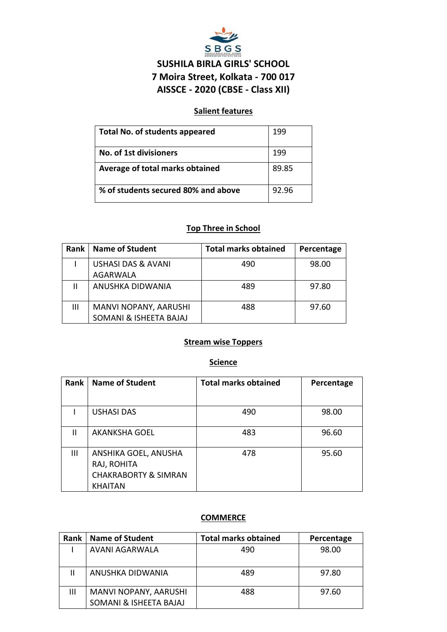

# **SUSHILA BIRLA GIRLS' SCHOOL 7 Moira Street, Kolkata - 700 017 AISSCE - 2020 (CBSE - Class XII)**

### **Salient features**

| <b>Total No. of students appeared</b> | 199   |
|---------------------------------------|-------|
| <b>No. of 1st divisioners</b>         | 199   |
| Average of total marks obtained       | 89.85 |
| % of students secured 80% and above   | 92.96 |

# **Top Three in School**

| Rank | Name of Student               | <b>Total marks obtained</b> | Percentage |
|------|-------------------------------|-----------------------------|------------|
|      | <b>USHASI DAS &amp; AVANI</b> | 490                         | 98.00      |
|      | <b>AGARWALA</b>               |                             |            |
|      | ANUSHKA DIDWANIA              | 489                         | 97.80      |
|      |                               |                             |            |
| Ш    | MANVI NOPANY, AARUSHI         | 488                         | 97.60      |
|      | SOMANI & ISHEETA BAJAJ        |                             |            |

### **Stream wise Toppers**

#### **Science**

| Rank           | <b>Name of Student</b>                                                                   | <b>Total marks obtained</b> | Percentage |
|----------------|------------------------------------------------------------------------------------------|-----------------------------|------------|
|                |                                                                                          |                             |            |
|                | <b>USHASI DAS</b>                                                                        | 490                         | 98.00      |
| Ш              | <b>AKANKSHA GOEL</b>                                                                     | 483                         | 96.60      |
| $\mathbf{III}$ | ANSHIKA GOEL, ANUSHA<br>RAJ, ROHITA<br><b>CHAKRABORTY &amp; SIMRAN</b><br><b>KHAITAN</b> | 478                         | 95.60      |

### **COMMERCE**

| Rank | <b>Name of Student</b>                          | <b>Total marks obtained</b> | Percentage |
|------|-------------------------------------------------|-----------------------------|------------|
|      | AVANI AGARWALA                                  | 490                         | 98.00      |
|      | ANUSHKA DIDWANIA                                | 489                         | 97.80      |
| Ш    | MANVI NOPANY, AARUSHI<br>SOMANI & ISHEETA BAJAJ | 488                         | 97.60      |